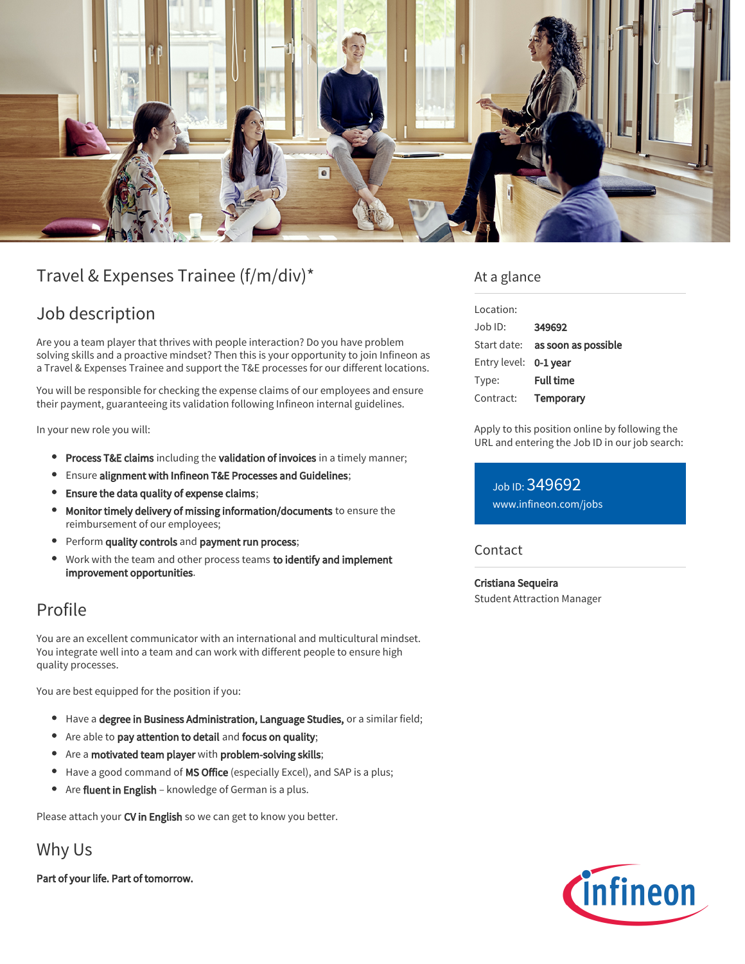

# Travel & Expenses Trainee (f/m/div)\*

## Job description

Are you a team player that thrives with people interaction? Do you have problem solving skills and a proactive mindset? Then this is your opportunity to join Infineon as a Travel & Expenses Trainee and support the T&E processes for our different locations.

You will be responsible for checking the expense claims of our employees and ensure their payment, guaranteeing its validation following Infineon internal guidelines.

In your new role you will:

- **Process T&E claims** including the validation of invoices in a timely manner;
- Ensure alignment with Infineon T&E Processes and Guidelines;  $\bullet$
- Ensure the data quality of expense claims;
- Monitor timely delivery of missing information/documents to ensure the  $\bullet$ reimbursement of our employees;
- Perform quality controls and payment run process;
- Work with the team and other process teams to identify and implement improvement opportunities.

### Profile

You are an excellent communicator with an international and multicultural mindset. You integrate well into a team and can work with different people to ensure high quality processes.

You are best equipped for the position if you:

- Have a degree in Business Administration, Language Studies, or a similar field;
- Are able to pay attention to detail and focus on quality;
- Are a motivated team player with problem-solving skills;
- Have a good command of MS Office (especially Excel), and SAP is a plus;
- Are fluent in English knowledge of German is a plus.

Please attach your CV in English so we can get to know you better.

Why Us

Part of your life. Part of tomorrow.

### At a glance

| Location:             |                                        |
|-----------------------|----------------------------------------|
| Job ID:               | 349692                                 |
|                       | Start date: <b>as soon as possible</b> |
| Entry level: 0-1 year |                                        |
| Type:                 | <b>Full time</b>                       |
| Contract:             | Temporary                              |

Apply to this position online by following the URL and entering the Job ID in our job search:

Job ID: 349692 [www.infineon.com/jobs](https://www.infineon.com/jobs)

#### **Contact**

Cristiana Sequeira Student Attraction Manager